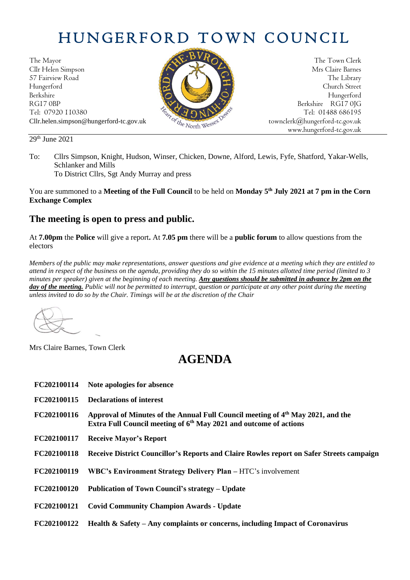# HUNGERFORD TOWN COUNCIL

The Mayor The Town Clerk Cllr Helen Simpson Mrs Claire Barnes 57 Fairview Road The Library (2002) 2013 12:38 The Library Hungerford Church Street Berkshire Hungerford RG17 0BP Berkshire RG17 0JG Cllr.helen.simpson@hungerford-tc.gov.uk [townclerk@hungerford-tc.gov.uk](mailto:townclerk@hungerford-tc.gov.uk)

Tel: 07920 110380 Tel: 01488 686195<br>Cllr.helen.simpson@hungerford-tc.gov.uk box box degrees townclerk@hungerford-tc.gov.uk www.hungerford-tc.gov.uk

#### 29 th June 2021

To: Cllrs Simpson, Knight, Hudson, Winser, Chicken, Downe, Alford, Lewis, Fyfe, Shatford, Yakar-Wells, Schlanker and Mills

To District Cllrs, Sgt Andy Murray and press

You are summoned to a **Meeting of the Full Council** to be held on **Monday 5 th July 2021 at 7 pm in the Corn Exchange Complex**

### **The meeting is open to press and public.**

At **7.00pm** the **Police** will give a report**.** At **7.05 pm** there will be a **public forum** to allow questions from the electors

*Members of the public may make representations, answer questions and give evidence at a meeting which they are entitled to attend in respect of the business on the agenda, providing they do so within the 15 minutes allotted time period (limited to 3 minutes per speaker) given at the beginning of each meeting. Any questions should be submitted in advance by 2pm on the*  **day of the meeting.** Public will not be permitted to interrupt, question or participate at any other point during the meeting *unless invited to do so by the Chair. Timings will be at the discretion of the Chair*

Mrs Claire Barnes, Town Clerk

## **AGENDA**

| FC202100114 | Note apologies for absence                                                                                                                                         |
|-------------|--------------------------------------------------------------------------------------------------------------------------------------------------------------------|
| FC202100115 | <b>Declarations of interest</b>                                                                                                                                    |
| FC202100116 | Approval of Minutes of the Annual Full Council meeting of $4th$ May 2021, and the<br>Extra Full Council meeting of 6 <sup>th</sup> May 2021 and outcome of actions |
| FC202100117 | <b>Receive Mayor's Report</b>                                                                                                                                      |
| FC202100118 | Receive District Councillor's Reports and Claire Rowles report on Safer Streets campaign                                                                           |
| FC202100119 | WBC's Environment Strategy Delivery Plan – HTC's involvement                                                                                                       |
| FC202100120 | Publication of Town Council's strategy – Update                                                                                                                    |
| FC202100121 | <b>Covid Community Champion Awards - Update</b>                                                                                                                    |
| FC202100122 | Health & Safety – Any complaints or concerns, including Impact of Coronavirus                                                                                      |